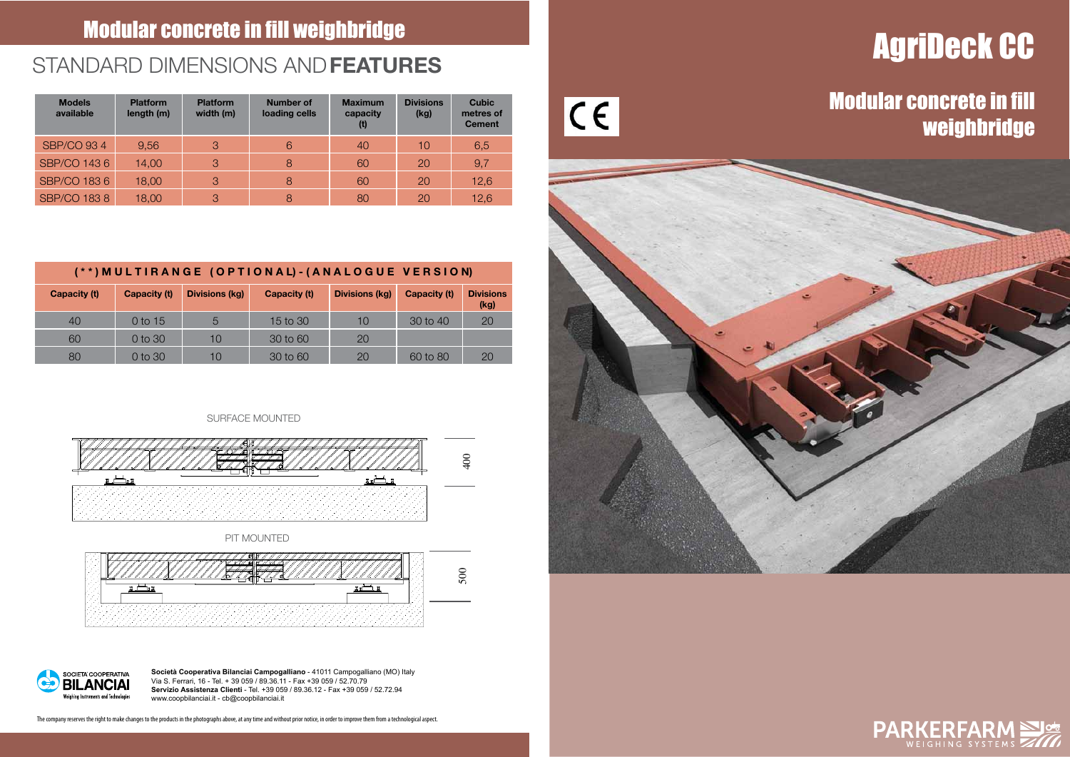# AgriDeck CC

### Modular concrete in fill weighbridge





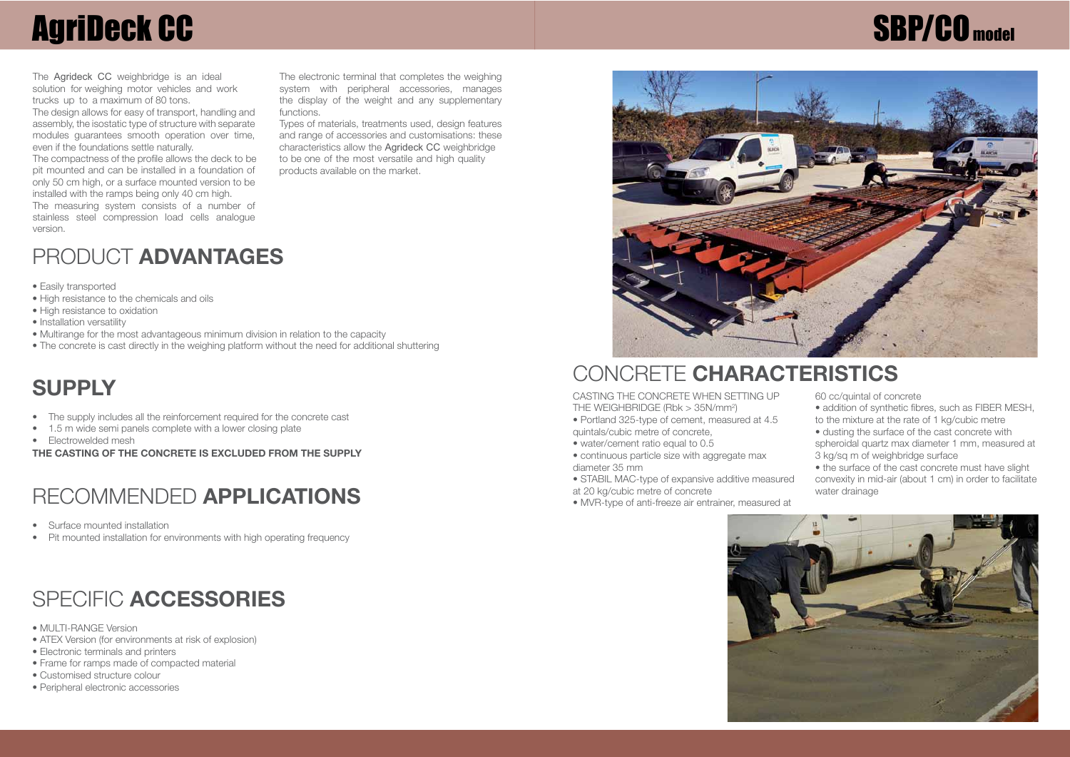## **AgriDeck CC**

The **Agrideck CC** weighbridge is an ideal solution for weighing motor vehicles and work trucks up to a maximum of 80 tons.

The design allows for easy of transport, handling and assembly, the isostatic type of structure with separate modules quarantees smooth operation over time, even if the foundations settle naturally.

The compactness of the profile allows the deck to be pit mounted and can be installed in a foundation of only 50 cm high, or a surface mounted version to be installed with the ramps being only 40 cm high.

The measuring system consists of a number of stainless steel compression load cells analogue version.

The electronic terminal that completes the weighing system with peripheral accessories, manages the display of the weight and any supplementary functions.

Types of materials, treatments used, design features and range of accessories and customisations: these characteristics allow the **Agrideck CC** weighbridge to be one of the most versatile and high quality products available on the market.

### PRODUCT **ADVANTAGES**

- Easily transported
- High resistance to the chemicals and oils
- High resistance to oxidation
- Installation versatility
- Multirange for the most advantageous minimum division in relation to the capacity
- The concrete is cast directly in the weighing platform without the need for additional shuttering

## CONCRETE **CHARACTERISTICS SUPPLY**

- The supply includes all the reinforcement required for the concrete cast
- 1.5 m wide semi panels complete with a lower closing plate
- Electrowelded mesh

**THE CASTING OF THE CONCRETE IS EXCLUDED FROM THE SUPPLY**

### RECOMMENDED **APPLICATIONS**

- Surface mounted installation
- Pit mounted installation for environments with high operating frequency

## SPECIFIC **ACCESSORIES**

- MULTI-RANGE Version
- ATEX Version (for environments at risk of explosion)
- Electronic terminals and printers
- Frame for ramps made of compacted material
- Customised structure colour
- Peripheral electronic accessories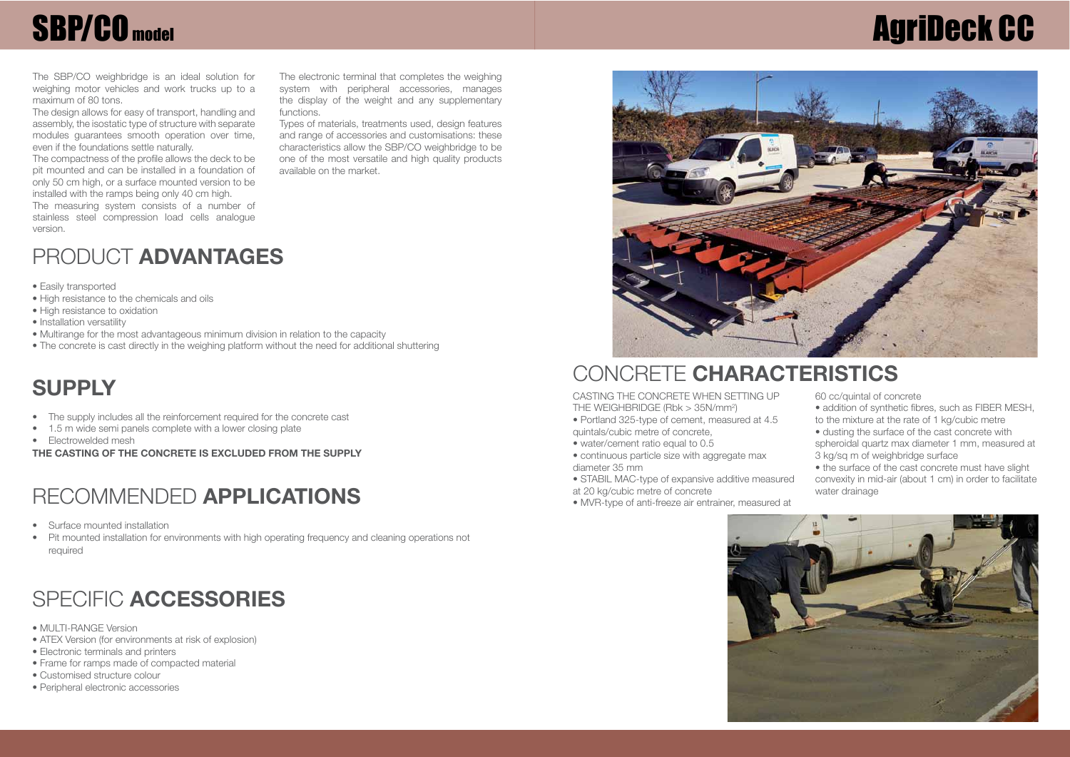## **AgriDeck CC**



#### **CONCRETE CHARACTERISTICS**

CASTING THE CONCRETE WHEN SETTING UP THE WEIGHBRIDGE (Rbk > 35N/mm<sup>2</sup> )

• Portland 325-type of cement, measured at 4.5 quintals/cubic metre of concrete,

- water/cement ratio equal to 0.5
- continuous particle size with aggregate max diameter 35 mm
- STABIL MAC-type of expansive additive measured at 20 kg/cubic metre of concrete

• MVR-type of anti-freeze air entrainer, measured at

60 cc/quintal of concrete

- addition of synthetic fibres, such as FIBER MESH, to the mixture at the rate of 1 kg/cubic metre
- dusting the surface of the cast concrete with
- spheroidal quartz max diameter 1 mm, measured at 3 kg/sq m of weighbridge surface
- the surface of the cast concrete must have slight convexity in mid-air (about 1 cm) in order to facilitate water drainage